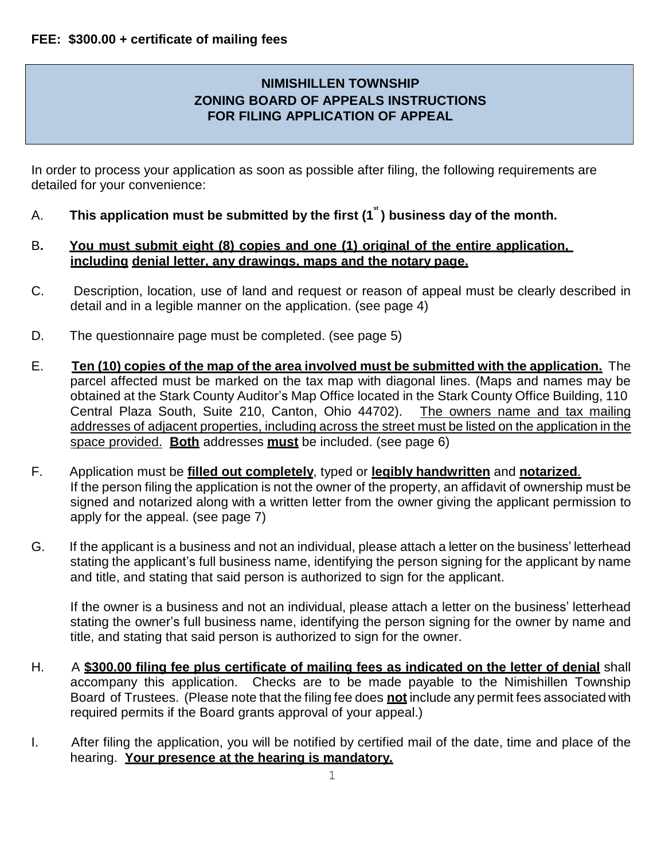## **NIMISHILLEN TOWNSHIP ZONING BOARD OF APPEALS INSTRUCTIONS FOR FILING APPLICATION OF APPEAL**

In order to process your application as soon as possible after filing, the following requirements are detailed for your convenience:

- A. **This application must be submitted by the first (1 st ) business day of the month.**
- B**. You must submit eight (8) copies and one (1) original of the entire application, including denial letter, any drawings, maps and the notary page.**
- C. Description, location, use of land and request or reason of appeal must be clearly described in detail and in a legible manner on the application. (see page 4)
- D. The questionnaire page must be completed. (see page 5)
- E. **Ten (10) copies of the map of the area involved must be submitted with the application.** The parcel affected must be marked on the tax map with diagonal lines. (Maps and names may be obtained at the Stark County Auditor's Map Office located in the Stark County Office Building, 110 Central Plaza South, Suite 210, Canton, Ohio 44702). The owners name and tax mailing addresses of adjacent properties, including across the street must be listed on the application in the space provided. **Both** addresses **must** be included. (see page 6)
- F. Application must be **filled out completely**, typed or **legibly handwritten** and **notarized**. If the person filing the application is not the owner of the property, an affidavit of ownership must be signed and notarized along with a written letter from the owner giving the applicant permission to apply for the appeal. (see page 7)
- G. If the applicant is a business and not an individual, please attach a letter on the business' letterhead stating the applicant's full business name, identifying the person signing for the applicant by name and title, and stating that said person is authorized to sign for the applicant.

If the owner is a business and not an individual, please attach a letter on the business' letterhead stating the owner's full business name, identifying the person signing for the owner by name and title, and stating that said person is authorized to sign for the owner.

- H. A **\$300.00 filing fee plus certificate of mailing fees as indicated on the letter of denial** shall accompany this application. Checks are to be made payable to the Nimishillen Township Board of Trustees. (Please note that the filing fee does **not** include any permit fees associated with required permits if the Board grants approval of your appeal.)
- I. After filing the application, you will be notified by certified mail of the date, time and place of the hearing. **Your presence at the hearing is mandatory.**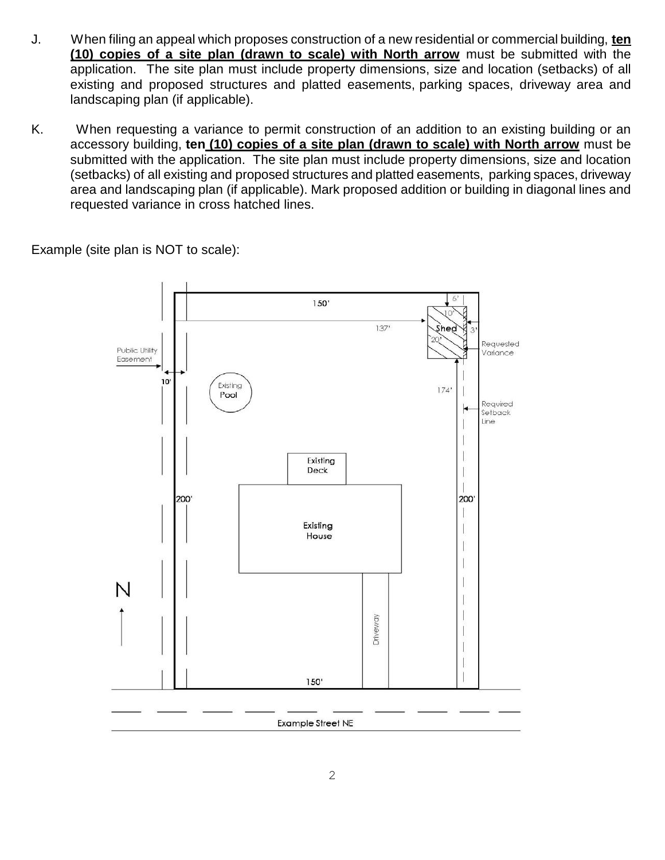- J. When filing an appeal which proposes construction of a new residential or commercial building, **ten (10) copies of a site plan (drawn to scale) with North arrow** must be submitted with the application. The site plan must include property dimensions, size and location (setbacks) of all existing and proposed structures and platted easements, parking spaces, driveway area and landscaping plan (if applicable).
- K. When requesting a variance to permit construction of an addition to an existing building or an accessory building, **ten (10) copies of a site plan (drawn to scale) with North arrow** must be submitted with the application. The site plan must include property dimensions, size and location (setbacks) of all existing and proposed structures and platted easements, parking spaces, driveway area and landscaping plan (if applicable). Mark proposed addition or building in diagonal lines and requested variance in cross hatched lines.

Example (site plan is NOT to scale):

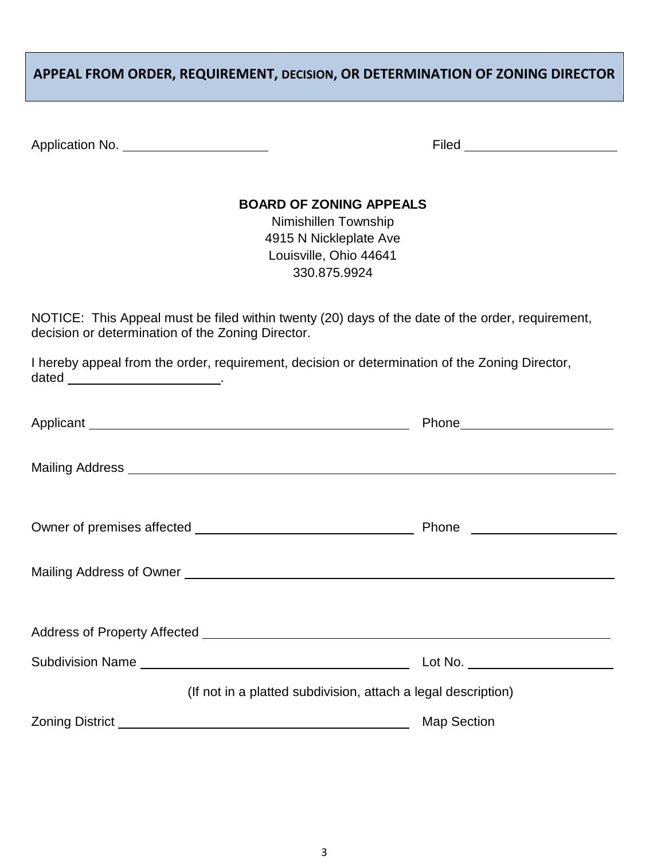# **APPEAL FROM ORDER, REQUIREMENT, DECISION, OR DETERMINATION OF ZONING DIRECTOR**

| Application No. | Filed |
|-----------------|-------|
|                 |       |

### **BOARD OF ZONING APPEALS**

Nimishillen Township 4915 N Nickleplate Ave Louisville, Ohio 44641 330.875.9924

NOTICE: This Appeal must be filed within twenty (20) days of the date of the order, requirement, decision or determination of the Zoning Director.

I hereby appeal from the order, requirement, decision or determination of the Zoning Director, dated \_\_\_\_\_\_\_\_\_\_\_\_\_\_\_\_\_\_\_\_\_\_\_\_\_\_\_.

|                                                                                                                                                                                                                                      | Phone__________________________ |  |  |  |  |
|--------------------------------------------------------------------------------------------------------------------------------------------------------------------------------------------------------------------------------------|---------------------------------|--|--|--|--|
|                                                                                                                                                                                                                                      |                                 |  |  |  |  |
|                                                                                                                                                                                                                                      |                                 |  |  |  |  |
|                                                                                                                                                                                                                                      |                                 |  |  |  |  |
|                                                                                                                                                                                                                                      |                                 |  |  |  |  |
|                                                                                                                                                                                                                                      |                                 |  |  |  |  |
| (If not in a platted subdivision, attach a legal description)                                                                                                                                                                        |                                 |  |  |  |  |
| Zoning District <u>New York Control of The Control of The Control of The Control of The Control of The Control of The Control of The Control of The Control of The Control of The Control of The Control of The Control of The C</u> | <b>Map Section</b>              |  |  |  |  |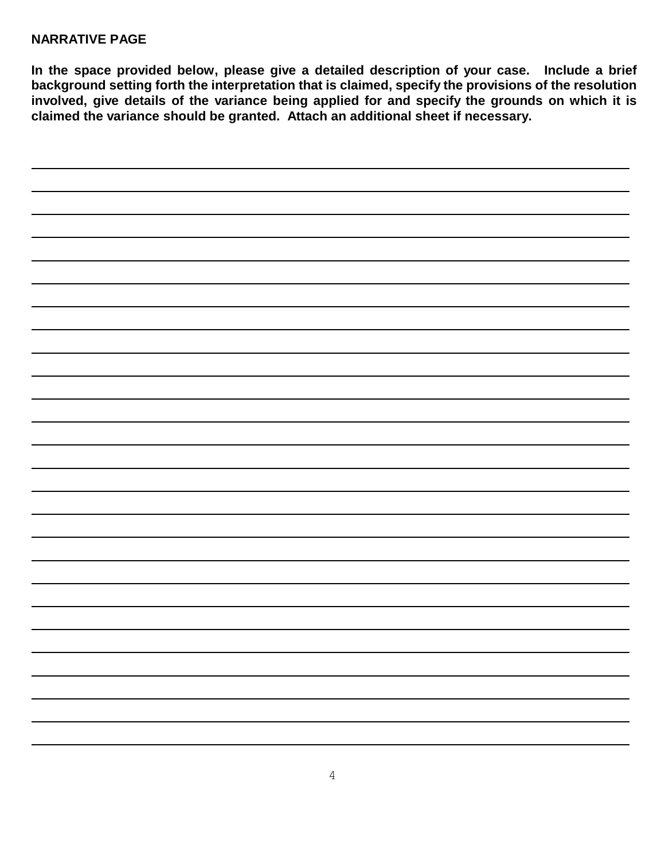#### **NARRATIVE PAGE**

**In the space provided below, please give a detailed description of your case. Include a brief background setting forth the interpretation that is claimed, specify the provisions of the resolution involved, give details of the variance being applied for and specify the grounds on which it is claimed the variance should be granted. Attach an additional sheet if necessary.**

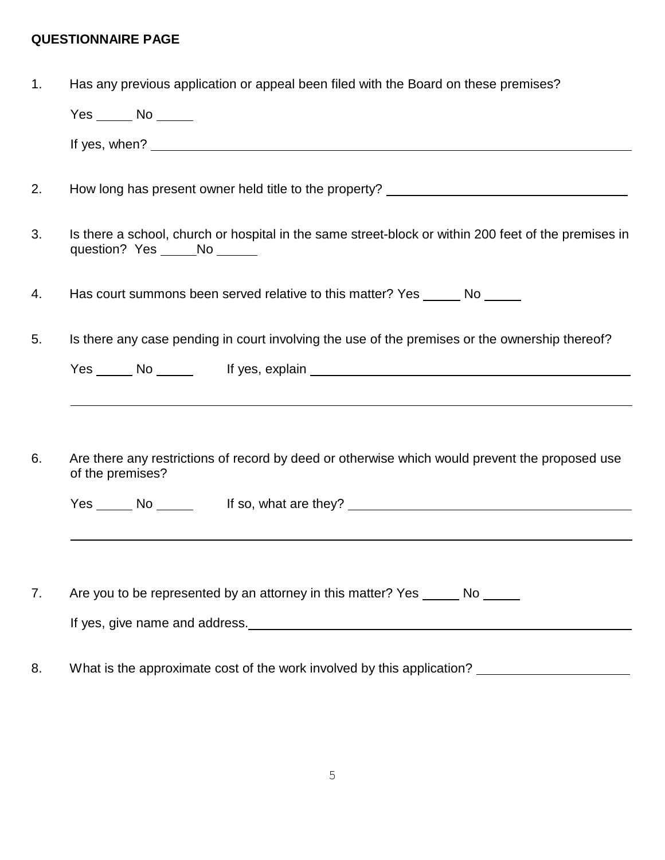# **QUESTIONNAIRE PAGE**

| $\mathbf{1}$ . | Has any previous application or appeal been filed with the Board on these premises?                                                   |  |  |  |  |
|----------------|---------------------------------------------------------------------------------------------------------------------------------------|--|--|--|--|
|                | $Yes \_\_\_ No \_\_\_$                                                                                                                |  |  |  |  |
|                |                                                                                                                                       |  |  |  |  |
| 2.             | How long has present owner held title to the property? _________________________                                                      |  |  |  |  |
| 3.             | Is there a school, church or hospital in the same street-block or within 200 feet of the premises in<br>question? Yes ______No ______ |  |  |  |  |
| 4.             | Has court summons been served relative to this matter? Yes ______ No ______                                                           |  |  |  |  |
| 5.             | Is there any case pending in court involving the use of the premises or the ownership thereof?                                        |  |  |  |  |
|                |                                                                                                                                       |  |  |  |  |
|                |                                                                                                                                       |  |  |  |  |
|                |                                                                                                                                       |  |  |  |  |
| 6.             | Are there any restrictions of record by deed or otherwise which would prevent the proposed use<br>of the premises?                    |  |  |  |  |
|                | Yes _______ No ____________ If so, what are they? ______________________________                                                      |  |  |  |  |
|                |                                                                                                                                       |  |  |  |  |
|                |                                                                                                                                       |  |  |  |  |
| 7.             | Are you to be represented by an attorney in this matter? Yes ______ No ______                                                         |  |  |  |  |
|                |                                                                                                                                       |  |  |  |  |
| 8.             | What is the approximate cost of the work involved by this application?                                                                |  |  |  |  |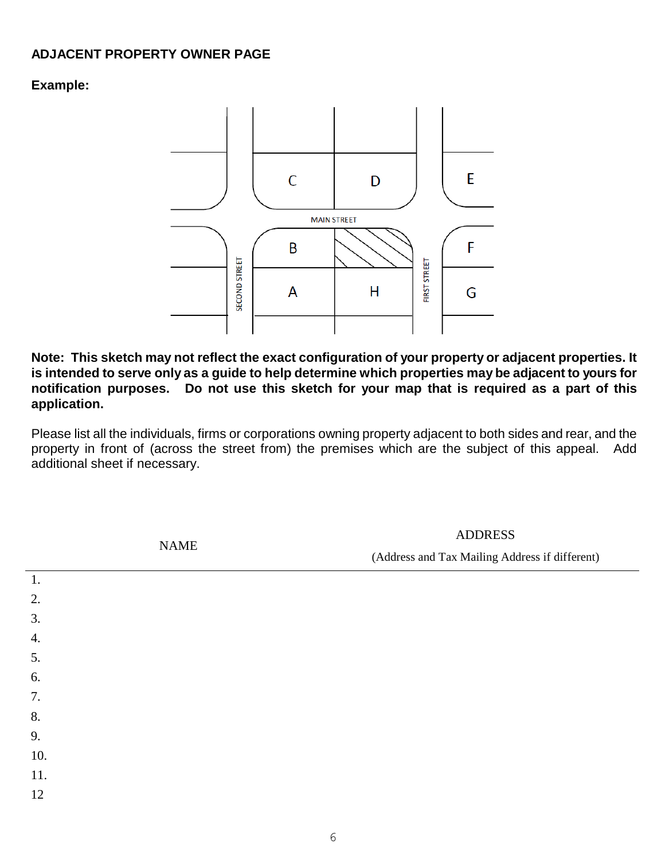### **ADJACENT PROPERTY OWNER PAGE**

### **Example:**



**Note: This sketch may not reflect the exact configuration of your property or adjacent properties. It**  is intended to serve only as a guide to help determine which properties may be adjacent to yours for **notification purposes. Do not use this sketch for your map that is required as a part of this application.**

Please list all the individuals, firms or corporations owning property adjacent to both sides and rear, and the property in front of (across the street from) the premises which are the subject of this appeal. Add additional sheet if necessary.

|     | $\ensuremath{\mathsf{NAME}}$ | <b>ADDRESS</b>                                 |  |  |
|-----|------------------------------|------------------------------------------------|--|--|
|     |                              | (Address and Tax Mailing Address if different) |  |  |
| 1.  |                              |                                                |  |  |
| 2.  |                              |                                                |  |  |
| 3.  |                              |                                                |  |  |
| 4.  |                              |                                                |  |  |
| 5.  |                              |                                                |  |  |
| 6.  |                              |                                                |  |  |
| 7.  |                              |                                                |  |  |
| 8.  |                              |                                                |  |  |
| 9.  |                              |                                                |  |  |
| 10. |                              |                                                |  |  |
| 11. |                              |                                                |  |  |
| 12  |                              |                                                |  |  |
|     |                              |                                                |  |  |